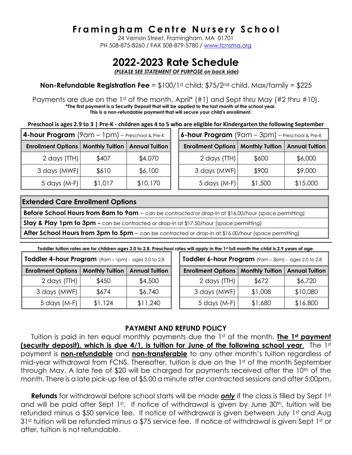## **F r a m i n g h a m C e n t r e N u r s e r y S c h o o l**

24 Vernon Street, Framingham, MA 01701 PH 508-875-8260 / FAX 508-879-5780 / [www.fcnsma.org](http://www.fcnsma.org/)

# **2022-2023 Rate Schedule**

*(PLEASE SEE STATEMENT OF PURPOSE on back side)*

### **Non-Refundable Registration Fee** = \$100/1st child; \$75/2<sup>nd</sup> child. Max/family = \$225

Payments are due on the 1st of the month, April\*  $(\#1)$  and Sept thru May  $(\#2$  thru  $\#10)$ . **\*The first payment is a Security Deposit that will be applied to the last month of the school year. This is a non-refundable payment that will secure your child's enrollment.**

**Preschool is ages 2.9 to 3 | Pre-K - children ages 4 to 5 who are eligible for Kindergarten the following September**

| 4-hour Program (9am - 1pm) - Preschool & Pre-K               |         |          | <b>6-hour Program</b> (9am $-$ 3pm) $-$ Preschool & Pre-K    |         |          |
|--------------------------------------------------------------|---------|----------|--------------------------------------------------------------|---------|----------|
| <b>Enrollment Options   Monthly Tuition   Annual Tuition</b> |         |          | <b>Enrollment Options   Monthly Tuition   Annual Tuition</b> |         |          |
| 2 days $(TH)$                                                | \$407   | \$4,070  | 2 days (TTH)                                                 | \$600   | \$6,000  |
| 3 days (MWF)                                                 | \$610   | \$6,100  | 3 days (MWF)                                                 | \$900   | \$9,000  |
| 5 days $(M-F)$                                               | \$1,017 | \$10,170 | $5$ days (M-F)                                               | \$1,500 | \$15,000 |

### **Extended Care Enrollment Options**

**Before School Hours from 8am to 9am** – can be contracted or drop-in at \$16.00/hour (space permitting)

**Stay & Play 1pm to 3pm -** can be contracted or drop-in at \$17.50/hour (space permitting)

**After School Hours from 3pm to 5pm** – can be contracted or drop-in at \$16.00/hour (space permitting)

**Toddler tuition rates are for children ages 2.0 to 2.8. Preschool rates will apply in the 1st full month the child is 2.9 years of age.**

| Toddler 4-hour Program (9am - 1pm) - ages 2.0 to 2.8 |                        |                       | Toddler 6-hour Program (9am - 3pm) - ages 2.0 to 2.8 |                        |                       |
|------------------------------------------------------|------------------------|-----------------------|------------------------------------------------------|------------------------|-----------------------|
| <b>Enrollment Options</b>                            | <b>Monthly Tuition</b> | <b>Annual Tuition</b> | <b>Enrollment Options</b>                            | <b>Monthly Tuition</b> | <b>Annual Tuition</b> |
| 2 days (TTH)                                         | \$450                  | \$4,500               | 2 days (TTH)                                         | \$672                  | \$6,720               |
| 3 days (MWF)                                         | \$674                  | \$6,740               | 3 days (MWF)                                         | \$1,008                | \$10,080              |
| 5 days (M-F)                                         | \$1,124                | \$11,240              | $5$ days (M-F)                                       | \$1,680                | \$16,800              |

#### **PAYMENT AND REFUND POLICY**

Tuition is paid in ten equal monthly payments due the 1st of the month. **The 1st payment (security deposit), which is due 4/1, is tuition for June of the following school year**. The 1st payment is **non-refundable** and **non-transferable** to any other month's tuition regardless of mid-year withdrawal from FCNS. Thereafter, tuition is due on the 1st of the month September through May. A late fee of \$20 will be charged for payments received after the 10<sup>th</sup> of the month. There is a late pick-up fee of \$5.00 a minute after contracted sessions and after 5:00pm.

**Refunds** for withdrawal before school starts will be made *only* if the class is filled by Sept 1st and will be paid after Sept 1st. If notice of withdrawal is given by June 30<sup>th</sup>, tuition will be refunded minus a \$50 service fee. If notice of withdrawal is given between July 1st and Aug 31<sup>st</sup> tuition will be refunded minus a \$75 service fee. If notice of withdrawal is given Sept 1st or after, tuition is not refundable.